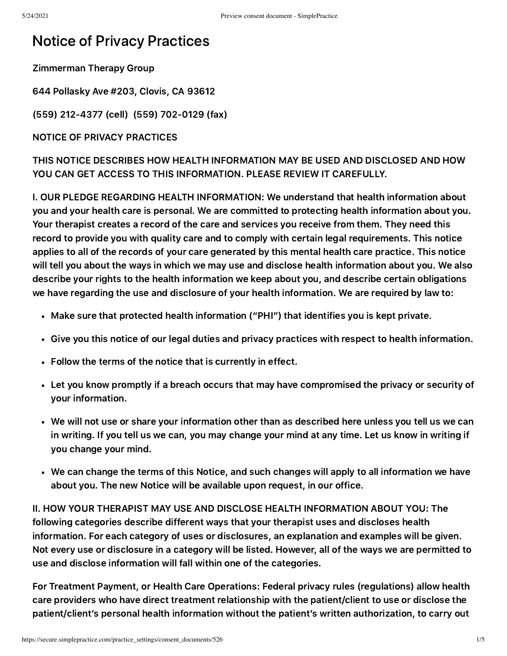## Notice of Privacy Practices

Zimmerman Therapy Group

644 Pollasky Ave #203, Clovis, CA 93612

(559) 212-4377 (cell) (559) 702-0129 (fax)

NOTICE OF PRIVACY PRACTICES

THIS NOTICE DESCRIBES HOW HEALTH INFORMATION MAY BE USED AND DISCLOSED AND HOW YOU CAN GET ACCESS TO THIS INFORMATION. PLEASE REVIEW IT CAREFULLY.

I. OUR PLEDGE REGARDING HEALTH INFORMATION: We understand that health information about you and your health care is personal. We are committed to protecting health information about you. Your therapist creates a record of the care and services you receive from them. They need this record to provide you with quality care and to comply with certain legal requirements. This notice applies to all of the records of your care generated by this mental health care practice. This notice will tell you about the ways in which we may use and disclose health information about you. We also describe your rights to the health information we keep about you, and describe certain obligations we have regarding the use and disclosure of your health information. We are required by law to:

- Make sure that protected health information ("PHI") that identifies you is kept private.
- Give you this notice of our legal duties and privacy practices with respect to health information.
- Follow the terms of the notice that is currently in effect.
- Let you know promptly if a breach occurs that may have compromised the privacy or security of your information.
- We will not use or share your information other than as described here unless you tell us we can in writing. If you tell us we can, you may change your mind at any time. Let us know in writing if you change your mind.
- We can change the terms of this Notice, and such changes will apply to all information we have about you. The new Notice will be available upon request, in our office.

II. HOW YOUR THERAPIST MAY USE AND DISCLOSE HEALTH INFORMATION ABOUT YOU: The following categories describe different ways that your therapist uses and discloses health information. For each category of uses or disclosures, an explanation and examples will be given. Not every use or disclosure in a category will be listed. However, all of the ways we are permitted to use and disclose information will fall within one of the categories.

For Treatment Payment, or Health Care Operations: Federal privacy rules (regulations) allow health care providers who have direct treatment relationship with the patient/client to use or disclose the patient/client's personal health information without the patient's written authorization, to carry out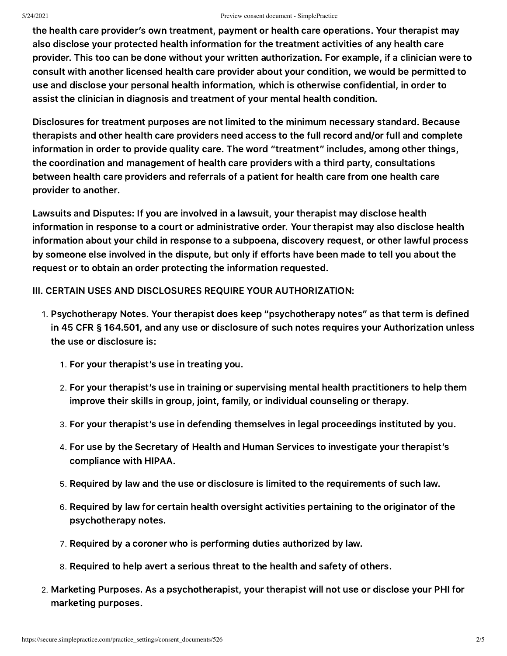## 5/24/2021 Preview consent document - SimplePractice

the health care provider's own treatment, payment or health care operations. Your therapist may also disclose your protected health information for the treatment activities of any health care provider. This too can be done without your written authorization. For example, if a clinician were to consult with another licensed health care provider about your condition, we would be permitted to use and disclose your personal health information, which is otherwise confidential, in order to assist the clinician in diagnosis and treatment of your mental health condition.

Disclosures for treatment purposes are not limited to the minimum necessary standard. Because therapists and other health care providers need access to the full record and/or full and complete information in order to provide quality care. The word "treatment" includes, among other things, the coordination and management of health care providers with a third party, consultations between health care providers and referrals of a patient for health care from one health care provider to another.

Lawsuits and Disputes: If you are involved in a lawsuit, your therapist may disclose health information in response to a court or administrative order. Your therapist may also disclose health information about your child in response to a subpoena, discovery request, or other lawful process by someone else involved in the dispute, but only if efforts have been made to tell you about the request or to obtain an order protecting the information requested.

III. CERTAIN USES AND DISCLOSURES REQUIRE YOUR AUTHORIZATION:

- . Psychotherapy Notes. Your therapist does keep "psychotherapy notes" as that term is defined in 45 CFR § 164.501, and any use or disclosure of such notes requires your Authorization unless the use or disclosure is:
	- . For your therapist's use in treating you.
	- . For your therapist's use in training or supervising mental health practitioners to help them improve their skills in group, joint, family, or individual counseling or therapy.
	- . For your therapist's use in defending themselves in legal proceedings instituted by you.
	- . For use by the Secretary of Health and Human Services to investigate your therapist's compliance with HIPAA.
	- . Required by law and the use or disclosure is limited to the requirements of such law.
	- . Required by law for certain health oversight activities pertaining to the originator of the psychotherapy notes.
	- . Required by a coroner who is performing duties authorized by law.
	- . Required to help avert a serious threat to the health and safety of others.
- . Marketing Purposes. As a psychotherapist, your therapist will not use or disclose your PHI for marketing purposes.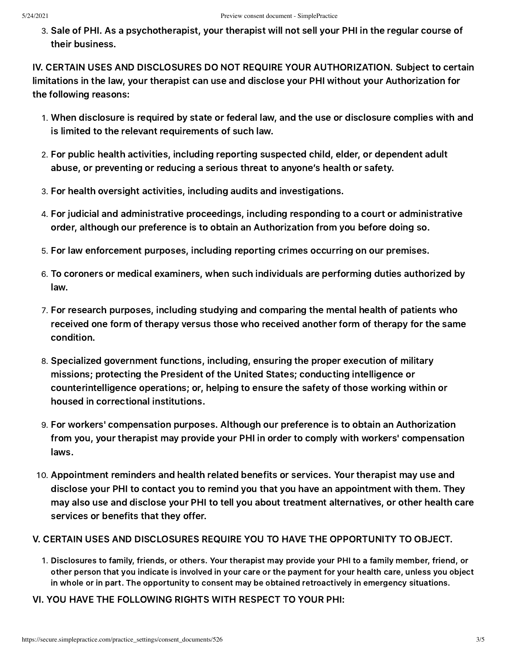. Sale of PHI. As a psychotherapist, your therapist will not sell your PHI in the regular course of their business.

IV. CERTAIN USES AND DISCLOSURES DO NOT REQUIRE YOUR AUTHORIZATION. Subject to certain limitations in the law, your therapist can use and disclose your PHI without your Authorization for the following reasons:

- . When disclosure is required by state or federal law, and the use or disclosure complies with and is limited to the relevant requirements of such law.
- . For public health activities, including reporting suspected child, elder, or dependent adult abuse, or preventing or reducing a serious threat to anyone's health or safety.
- . For health oversight activities, including audits and investigations.
- . For judicial and administrative proceedings, including responding to a court or administrative order, although our preference is to obtain an Authorization from you before doing so.
- . For law enforcement purposes, including reporting crimes occurring on our premises.
- . To coroners or medical examiners, when such individuals are performing duties authorized by law.
- . For research purposes, including studying and comparing the mental health of patients who received one form of therapy versus those who received another form of therapy for the same condition.
- . Specialized government functions, including, ensuring the proper execution of military missions; protecting the President of the United States; conducting intelligence or counterintelligence operations; or, helping to ensure the safety of those working within or housed in correctional institutions.
- . For workers' compensation purposes. Although our preference is to obtain an Authorization from you, your therapist may provide your PHI in order to comply with workers' compensation laws.
- . Appointment reminders and health related benefits or services. Your therapist may use and disclose your PHI to contact you to remind you that you have an appointment with them. They may also use and disclose your PHI to tell you about treatment alternatives, or other health care services or benefits that they offer.

## V. CERTAIN USES AND DISCLOSURES REQUIRE YOU TO HAVE THE OPPORTUNITY TO OBJECT.

- . Disclosures to family, friends, or others. Your therapist may provide your PHI to a family member, friend, or other person that you indicate is involved in your care or the payment for your health care, unless you object in whole or in part. The opportunity to consent may be obtained retroactively in emergency situations.
- VI. YOU HAVE THE FOLLOWING RIGHTS WITH RESPECT TO YOUR PHI: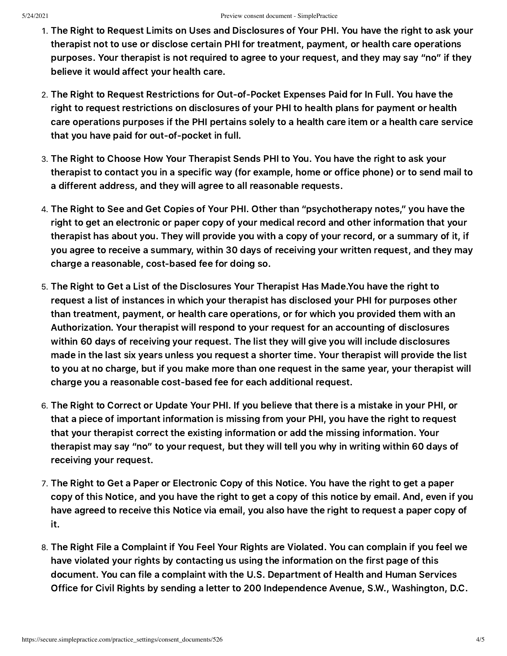- . The Right to Request Limits on Uses and Disclosures of Your PHI. You have the right to ask your therapist not to use or disclose certain PHI for treatment, payment, or health care operations purposes. Your therapist is not required to agree to your request, and they may say "no" if they believe it would affect your health care.
- . The Right to Request Restrictions for Out-of-Pocket Expenses Paid for In Full. You have the right to request restrictions on disclosures of your PHI to health plans for payment or health care operations purposes if the PHI pertains solely to a health care item or a health care service that you have paid for out-of-pocket in full.
- . The Right to Choose How Your Therapist Sends PHI to You. You have the right to ask your therapist to contact you in a specific way (for example, home or office phone) or to send mail to a different address, and they will agree to all reasonable requests.
- . The Right to See and Get Copies of Your PHI. Other than "psychotherapy notes," you have the right to get an electronic or paper copy of your medical record and other information that your therapist has about you. They will provide you with a copy of your record, or a summary of it, if you agree to receive a summary, within 30 days of receiving your written request, and they may charge a reasonable, cost-based fee for doing so.
- . The Right to Get a List of the Disclosures Your Therapist Has Made.You have the right to request a list of instances in which your therapist has disclosed your PHI for purposes other than treatment, payment, or health care operations, or for which you provided them with an Authorization. Your therapist will respond to your request for an accounting of disclosures within 60 days of receiving your request. The list they will give you will include disclosures made in the last six years unless you request a shorter time. Your therapist will provide the list to you at no charge, but if you make more than one request in the same year, your therapist will charge you a reasonable cost-based fee for each additional request.
- . The Right to Correct or Update Your PHI. If you believe that there is a mistake in your PHI, or that a piece of important information is missing from your PHI, you have the right to request that your therapist correct the existing information or add the missing information. Your therapist may say "no" to your request, but they will tell you why in writing within 60 days of receiving your request.
- . The Right to Get a Paper or Electronic Copy of this Notice. You have the right to get a paper copy of this Notice, and you have the right to get a copy of this notice by email. And, even if you have agreed to receive this Notice via email, you also have the right to request a paper copy of it.
- . The Right File a Complaint if You Feel Your Rights are Violated. You can complain if you feel we have violated your rights by contacting us using the information on the first page of this document. You can file a complaint with the U.S. Department of Health and Human Services Office for Civil Rights by sending a letter to 200 Independence Avenue, S.W., Washington, D.C.